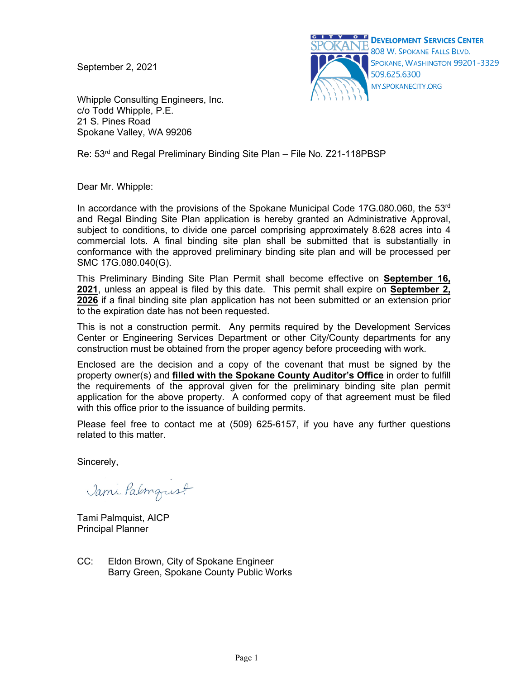September 2, 2021



Whipple Consulting Engineers, Inc. c/o Todd Whipple, P.E. 21 S. Pines Road Spokane Valley, WA 99206

Re: 53<sup>rd</sup> and Regal Preliminary Binding Site Plan – File No. Z21-118PBSP

Dear Mr. Whipple:

In accordance with the provisions of the Spokane Municipal Code 17G.080.060, the  $53<sup>rd</sup>$ and Regal Binding Site Plan application is hereby granted an Administrative Approval, subject to conditions, to divide one parcel comprising approximately 8.628 acres into 4 commercial lots. A final binding site plan shall be submitted that is substantially in conformance with the approved preliminary binding site plan and will be processed per SMC 17G.080.040(G).

This Preliminary Binding Site Plan Permit shall become effective on **September 16, 2021**, unless an appeal is filed by this date. This permit shall expire on **September 2, 2026** if a final binding site plan application has not been submitted or an extension prior to the expiration date has not been requested.

This is not a construction permit. Any permits required by the Development Services Center or Engineering Services Department or other City/County departments for any construction must be obtained from the proper agency before proceeding with work.

Enclosed are the decision and a copy of the covenant that must be signed by the property owner(s) and **filled with the Spokane County Auditor's Office** in order to fulfill the requirements of the approval given for the preliminary binding site plan permit application for the above property. A conformed copy of that agreement must be filed with this office prior to the issuance of building permits.

Please feel free to contact me at (509) 625-6157, if you have any further questions related to this matter.

Sincerely,

Jami Palmqust

Tami Palmquist, AICP Principal Planner

CC: Eldon Brown, City of Spokane Engineer Barry Green, Spokane County Public Works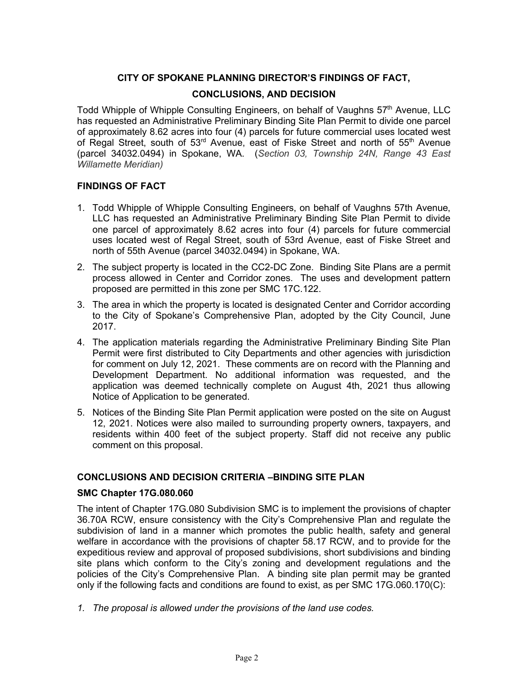# **CITY OF SPOKANE PLANNING DIRECTOR'S FINDINGS OF FACT,**

# **CONCLUSIONS, AND DECISION**

Todd Whipple of Whipple Consulting Engineers, on behalf of Vaughns 57<sup>th</sup> Avenue, LLC has requested an Administrative Preliminary Binding Site Plan Permit to divide one parcel of approximately 8.62 acres into four (4) parcels for future commercial uses located west of Regal Street, south of 53<sup>rd</sup> Avenue, east of Fiske Street and north of 55<sup>th</sup> Avenue (parcel 34032.0494) in Spokane, WA. (*Section 03, Township 24N, Range 43 East Willamette Meridian)*

#### **FINDINGS OF FACT**

- 1. Todd Whipple of Whipple Consulting Engineers, on behalf of Vaughns 57th Avenue, LLC has requested an Administrative Preliminary Binding Site Plan Permit to divide one parcel of approximately 8.62 acres into four (4) parcels for future commercial uses located west of Regal Street, south of 53rd Avenue, east of Fiske Street and north of 55th Avenue (parcel 34032.0494) in Spokane, WA.
- 2. The subject property is located in the CC2-DC Zone. Binding Site Plans are a permit process allowed in Center and Corridor zones. The uses and development pattern proposed are permitted in this zone per SMC 17C.122.
- 3. The area in which the property is located is designated Center and Corridor according to the City of Spokane's Comprehensive Plan, adopted by the City Council, June 2017.
- 4. The application materials regarding the Administrative Preliminary Binding Site Plan Permit were first distributed to City Departments and other agencies with jurisdiction for comment on July 12, 2021. These comments are on record with the Planning and Development Department. No additional information was requested, and the application was deemed technically complete on August 4th, 2021 thus allowing Notice of Application to be generated.
- 5. Notices of the Binding Site Plan Permit application were posted on the site on August 12, 2021. Notices were also mailed to surrounding property owners, taxpayers, and residents within 400 feet of the subject property. Staff did not receive any public comment on this proposal.

# **CONCLUSIONS AND DECISION CRITERIA –BINDING SITE PLAN**

#### **SMC Chapter 17G.080.060**

The intent of Chapter 17G.080 Subdivision SMC is to implement the provisions of chapter 36.70A RCW, ensure consistency with the City's Comprehensive Plan and regulate the subdivision of land in a manner which promotes the public health, safety and general welfare in accordance with the provisions of chapter 58.17 RCW, and to provide for the expeditious review and approval of proposed subdivisions, short subdivisions and binding site plans which conform to the City's zoning and development regulations and the policies of the City's Comprehensive Plan. A binding site plan permit may be granted only if the following facts and conditions are found to exist, as per SMC 17G.060.170(C):

*1. The proposal is allowed under the provisions of the land use codes.*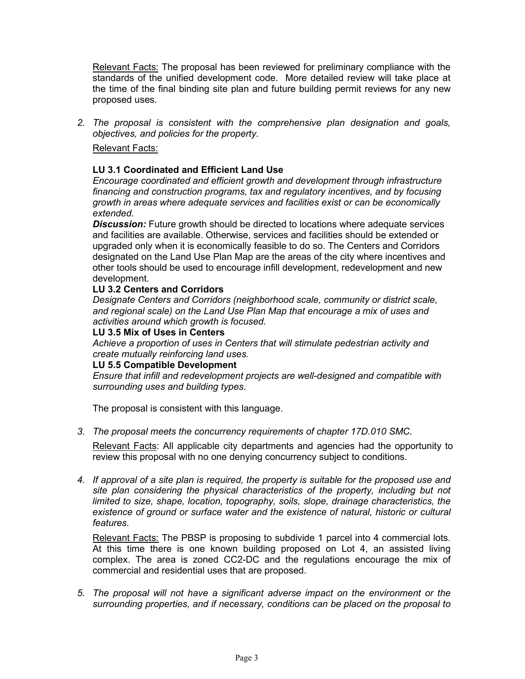Relevant Facts: The proposal has been reviewed for preliminary compliance with the standards of the unified development code. More detailed review will take place at the time of the final binding site plan and future building permit reviews for any new proposed uses.

*2. The proposal is consistent with the comprehensive plan designation and goals, objectives, and policies for the property.*

# Relevant Facts:

# **LU 3.1 Coordinated and Efficient Land Use**

*Encourage coordinated and efficient growth and development through infrastructure financing and construction programs, tax and regulatory incentives, and by focusing growth in areas where adequate services and facilities exist or can be economically extended.* 

*Discussion:* Future growth should be directed to locations where adequate services and facilities are available. Otherwise, services and facilities should be extended or upgraded only when it is economically feasible to do so. The Centers and Corridors designated on the Land Use Plan Map are the areas of the city where incentives and other tools should be used to encourage infill development, redevelopment and new development.

#### **LU 3.2 Centers and Corridors**

*Designate Centers and Corridors (neighborhood scale, community or district scale, and regional scale) on the Land Use Plan Map that encourage a mix of uses and activities around which growth is focused.*

#### **LU 3.5 Mix of Uses in Centers**

*Achieve a proportion of uses in Centers that will stimulate pedestrian activity and create mutually reinforcing land uses.*

#### **LU 5.5 Compatible Development**

*Ensure that infill and redevelopment projects are well-designed and compatible with surrounding uses and building types.*

The proposal is consistent with this language.

*3. The proposal meets the concurrency requirements of [chapter 17D.010 SMC.](http://www.spokanecity.org/services/documents/smc/?Chapter=17D.010)*

Relevant Facts: All applicable city departments and agencies had the opportunity to review this proposal with no one denying concurrency subject to conditions.

*4. If approval of a site plan is required, the property is suitable for the proposed use and site plan considering the physical characteristics of the property, including but not limited to size, shape, location, topography, soils, slope, drainage characteristics, the existence of ground or surface water and the existence of natural, historic or cultural features.*

Relevant Facts: The PBSP is proposing to subdivide 1 parcel into 4 commercial lots. At this time there is one known building proposed on Lot 4, an assisted living complex. The area is zoned CC2-DC and the regulations encourage the mix of commercial and residential uses that are proposed.

*5. The proposal will not have a significant adverse impact on the environment or the surrounding properties, and if necessary, conditions can be placed on the proposal to*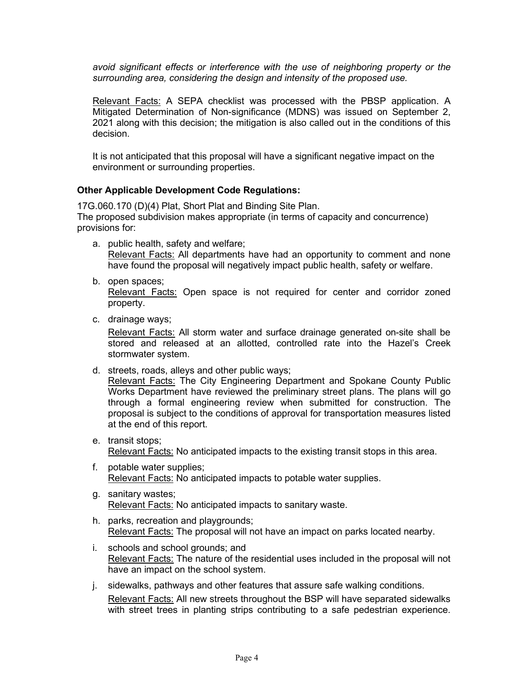*avoid significant effects or interference with the use of neighboring property or the surrounding area, considering the design and intensity of the proposed use.*

Relevant Facts: A SEPA checklist was processed with the PBSP application. A Mitigated Determination of Non-significance (MDNS) was issued on September 2, 2021 along with this decision; the mitigation is also called out in the conditions of this decision.

It is not anticipated that this proposal will have a significant negative impact on the environment or surrounding properties.

# **Other Applicable Development Code Regulations:**

17G.060.170 (D)(4) Plat, Short Plat and Binding Site Plan. The proposed subdivision makes appropriate (in terms of capacity and concurrence) provisions for:

- a. public health, safety and welfare; Relevant Facts: All departments have had an opportunity to comment and none have found the proposal will negatively impact public health, safety or welfare.
- b. open spaces; Relevant Facts: Open space is not required for center and corridor zoned property.
- c. drainage ways;

Relevant Facts: All storm water and surface drainage generated on-site shall be stored and released at an allotted, controlled rate into the Hazel's Creek stormwater system.

d. streets, roads, alleys and other public ways;

Relevant Facts: The City Engineering Department and Spokane County Public Works Department have reviewed the preliminary street plans. The plans will go through a formal engineering review when submitted for construction. The proposal is subject to the conditions of approval for transportation measures listed at the end of this report.

- e. transit stops; Relevant Facts: No anticipated impacts to the existing transit stops in this area.
- f. potable water supplies; Relevant Facts: No anticipated impacts to potable water supplies.
- g. sanitary wastes; Relevant Facts: No anticipated impacts to sanitary waste.
- h. parks, recreation and playgrounds; Relevant Facts: The proposal will not have an impact on parks located nearby.
- i. schools and school grounds; and Relevant Facts: The nature of the residential uses included in the proposal will not have an impact on the school system.
- j. sidewalks, pathways and other features that assure safe walking conditions. Relevant Facts: All new streets throughout the BSP will have separated sidewalks with street trees in planting strips contributing to a safe pedestrian experience.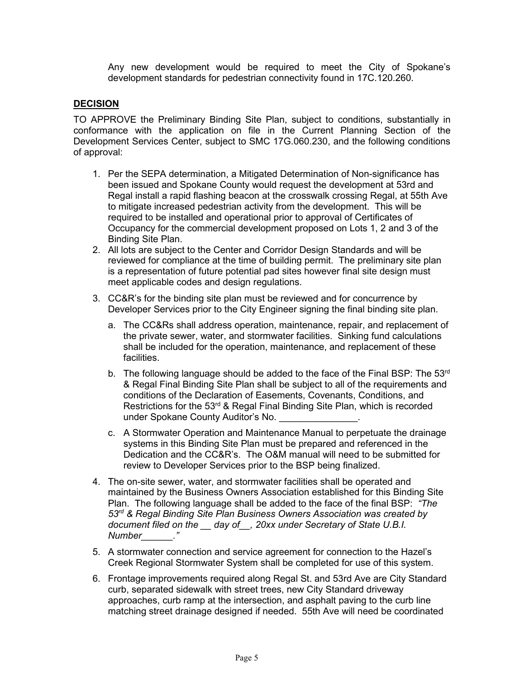Any new development would be required to meet the City of Spokane's development standards for pedestrian connectivity found in 17C.120.260.

# **DECISION**

TO APPROVE the Preliminary Binding Site Plan, subject to conditions, substantially in conformance with the application on file in the Current Planning Section of the Development Services Center, subject to SMC 17G.060.230, and the following conditions of approval:

- 1. Per the SEPA determination, a Mitigated Determination of Non-significance has been issued and Spokane County would request the development at 53rd and Regal install a rapid flashing beacon at the crosswalk crossing Regal, at 55th Ave to mitigate increased pedestrian activity from the development. This will be required to be installed and operational prior to approval of Certificates of Occupancy for the commercial development proposed on Lots 1, 2 and 3 of the Binding Site Plan.
- 2. All lots are subject to the Center and Corridor Design Standards and will be reviewed for compliance at the time of building permit. The preliminary site plan is a representation of future potential pad sites however final site design must meet applicable codes and design regulations.
- 3. CC&R's for the binding site plan must be reviewed and for concurrence by Developer Services prior to the City Engineer signing the final binding site plan.
	- a. The CC&Rs shall address operation, maintenance, repair, and replacement of the private sewer, water, and stormwater facilities. Sinking fund calculations shall be included for the operation, maintenance, and replacement of these facilities.
	- b. The following language should be added to the face of the Final BSP: The  $53<sup>rd</sup>$ & Regal Final Binding Site Plan shall be subject to all of the requirements and conditions of the Declaration of Easements, Covenants, Conditions, and Restrictions for the 53<sup>rd</sup> & Regal Final Binding Site Plan, which is recorded under Spokane County Auditor's No.
	- c. A Stormwater Operation and Maintenance Manual to perpetuate the drainage systems in this Binding Site Plan must be prepared and referenced in the Dedication and the CC&R's. The O&M manual will need to be submitted for review to Developer Services prior to the BSP being finalized.
- 4. The on-site sewer, water, and stormwater facilities shall be operated and maintained by the Business Owners Association established for this Binding Site Plan. The following language shall be added to the face of the final BSP: *"The 53rd & Regal Binding Site Plan Business Owners Association was created by document filed on the \_\_ day of\_\_, 20xx under Secretary of State U.B.I. Number\_\_\_\_\_\_."*
- 5. A stormwater connection and service agreement for connection to the Hazel's Creek Regional Stormwater System shall be completed for use of this system.
- 6. Frontage improvements required along Regal St. and 53rd Ave are City Standard curb, separated sidewalk with street trees, new City Standard driveway approaches, curb ramp at the intersection, and asphalt paving to the curb line matching street drainage designed if needed. 55th Ave will need be coordinated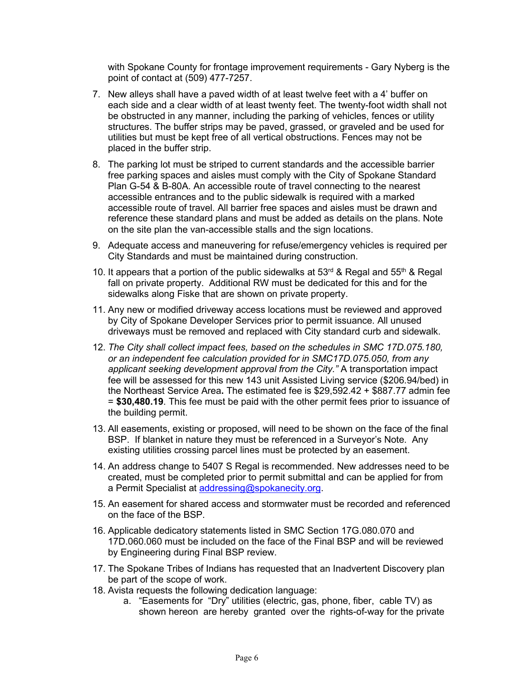with Spokane County for frontage improvement requirements - Gary Nyberg is the point of contact at (509) 477-7257.

- 7. New alleys shall have a paved width of at least twelve feet with a 4' buffer on each side and a clear width of at least twenty feet. The twenty-foot width shall not be obstructed in any manner, including the parking of vehicles, fences or utility structures. The buffer strips may be paved, grassed, or graveled and be used for utilities but must be kept free of all vertical obstructions. Fences may not be placed in the buffer strip.
- 8. The parking lot must be striped to current standards and the accessible barrier free parking spaces and aisles must comply with the City of Spokane Standard Plan G-54 & B-80A. An accessible route of travel connecting to the nearest accessible entrances and to the public sidewalk is required with a marked accessible route of travel. All barrier free spaces and aisles must be drawn and reference these standard plans and must be added as details on the plans. Note on the site plan the van-accessible stalls and the sign locations.
- 9. Adequate access and maneuvering for refuse/emergency vehicles is required per City Standards and must be maintained during construction.
- 10. It appears that a portion of the public sidewalks at  $53<sup>rd</sup>$  & Regal and  $55<sup>th</sup>$  & Regal fall on private property. Additional RW must be dedicated for this and for the sidewalks along Fiske that are shown on private property.
- 11. Any new or modified driveway access locations must be reviewed and approved by City of Spokane Developer Services prior to permit issuance. All unused driveways must be removed and replaced with City standard curb and sidewalk.
- 12. *The City shall collect impact fees, based on the schedules in SMC 17D.075.180, or an independent fee calculation provided for in SMC17D.075.050, from any applicant seeking development approval from the City."* A transportation impact fee will be assessed for this new 143 unit Assisted Living service (\$206.94/bed) in the Northeast Service Area**.** The estimated fee is \$29,592.42 + \$887.77 admin fee = **\$30,480.19**. This fee must be paid with the other permit fees prior to issuance of the building permit.
- 13. All easements, existing or proposed, will need to be shown on the face of the final BSP. If blanket in nature they must be referenced in a Surveyor's Note. Any existing utilities crossing parcel lines must be protected by an easement.
- 14. An address change to 5407 S Regal is recommended. New addresses need to be created, must be completed prior to permit submittal and can be applied for from a Permit Specialist at [addressing@spokanecity.org.](mailto:addressing@spokanecity.org)
- 15. An easement for shared access and stormwater must be recorded and referenced on the face of the BSP.
- 16. Applicable dedicatory statements listed in SMC Section 17G.080.070 and 17D.060.060 must be included on the face of the Final BSP and will be reviewed by Engineering during Final BSP review.
- 17. The Spokane Tribes of Indians has requested that an Inadvertent Discovery plan be part of the scope of work.
- 18. Avista requests the following dedication language:
	- a. "Easements for "Dry" utilities (electric, gas, phone, fiber, cable TV) as shown hereon are hereby granted over the rights-of-way for the private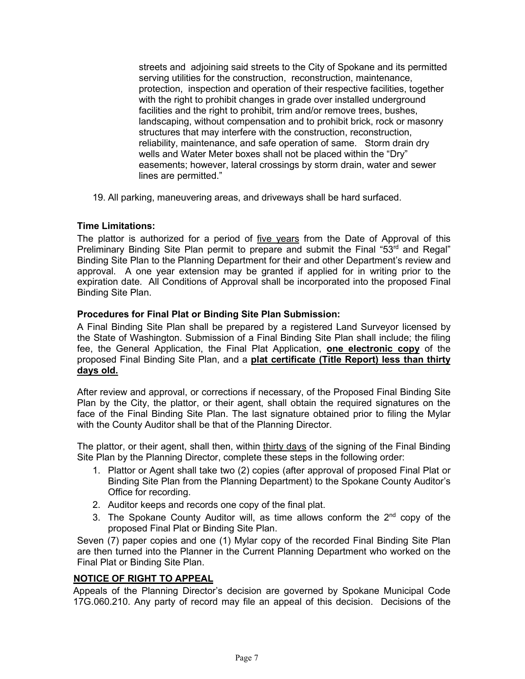streets and adjoining said streets to the City of Spokane and its permitted serving utilities for the construction, reconstruction, maintenance, protection, inspection and operation of their respective facilities, together with the right to prohibit changes in grade over installed underground facilities and the right to prohibit, trim and/or remove trees, bushes, landscaping, without compensation and to prohibit brick, rock or masonry structures that may interfere with the construction, reconstruction, reliability, maintenance, and safe operation of same. Storm drain dry wells and Water Meter boxes shall not be placed within the "Dry" easements; however, lateral crossings by storm drain, water and sewer lines are permitted."

19. All parking, maneuvering areas, and driveways shall be hard surfaced.

# **Time Limitations:**

The plattor is authorized for a period of five years from the Date of Approval of this Preliminary Binding Site Plan permit to prepare and submit the Final "53<sup>rd</sup> and Regal" Binding Site Plan to the Planning Department for their and other Department's review and approval. A one year extension may be granted if applied for in writing prior to the expiration date. All Conditions of Approval shall be incorporated into the proposed Final Binding Site Plan.

# **Procedures for Final Plat or Binding Site Plan Submission:**

A Final Binding Site Plan shall be prepared by a registered Land Surveyor licensed by the State of Washington. Submission of a Final Binding Site Plan shall include; the filing fee, the General Application, the Final Plat Application, **one electronic copy** of the proposed Final Binding Site Plan, and a **plat certificate (Title Report) less than thirty days old.**

After review and approval, or corrections if necessary, of the Proposed Final Binding Site Plan by the City, the plattor, or their agent, shall obtain the required signatures on the face of the Final Binding Site Plan. The last signature obtained prior to filing the Mylar with the County Auditor shall be that of the Planning Director.

The plattor, or their agent, shall then, within thirty days of the signing of the Final Binding Site Plan by the Planning Director, complete these steps in the following order:

- 1. Plattor or Agent shall take two (2) copies (after approval of proposed Final Plat or Binding Site Plan from the Planning Department) to the Spokane County Auditor's Office for recording.
- 2. Auditor keeps and records one copy of the final plat.
- 3. The Spokane County Auditor will, as time allows conform the  $2<sup>nd</sup>$  copy of the proposed Final Plat or Binding Site Plan.

Seven (7) paper copies and one (1) Mylar copy of the recorded Final Binding Site Plan are then turned into the Planner in the Current Planning Department who worked on the Final Plat or Binding Site Plan.

# **NOTICE OF RIGHT TO APPEAL**

Appeals of the Planning Director's decision are governed by Spokane Municipal Code 17G.060.210. Any party of record may file an appeal of this decision. Decisions of the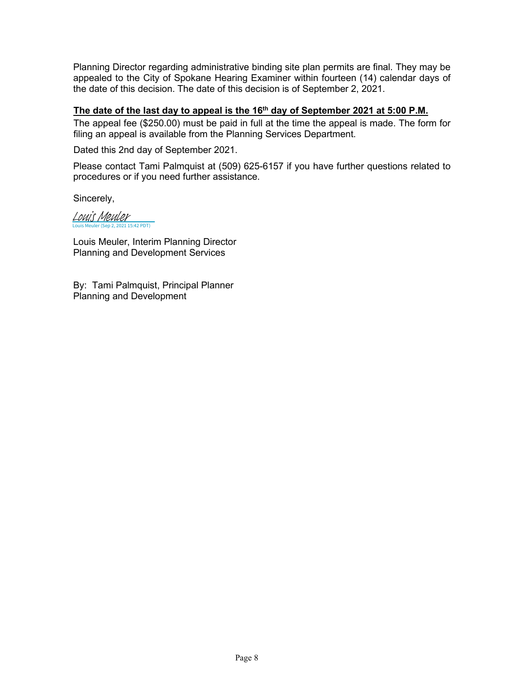Planning Director regarding administrative binding site plan permits are final. They may be appealed to the City of Spokane Hearing Examiner within fourteen (14) calendar days of the date of this decision. The date of this decision is of September 2, 2021.

# **The date of the last day to appeal is the 16th day of September 2021 at 5:00 P.M.**

The appeal fee (\$250.00) must be paid in full at the time the appeal is made. The form for filing an appeal is available from the Planning Services Department.

Dated this 2nd day of September 2021.

Please contact Tami Palmquist at (509) 625-6157 if you have further questions related to procedures or if you need further assistance.

Sincerely,

Louis Meuler (Sep 2, 2021 15:42 PDT) [Louis Meuler](https://na2.documents.adobe.com/verifier?tx=CBJCHBCAABAApYu2pvbDFuv113M2jFJGOTAXKIJtHccy)

Louis Meuler, Interim Planning Director Planning and Development Services

By: Tami Palmquist, Principal Planner Planning and Development